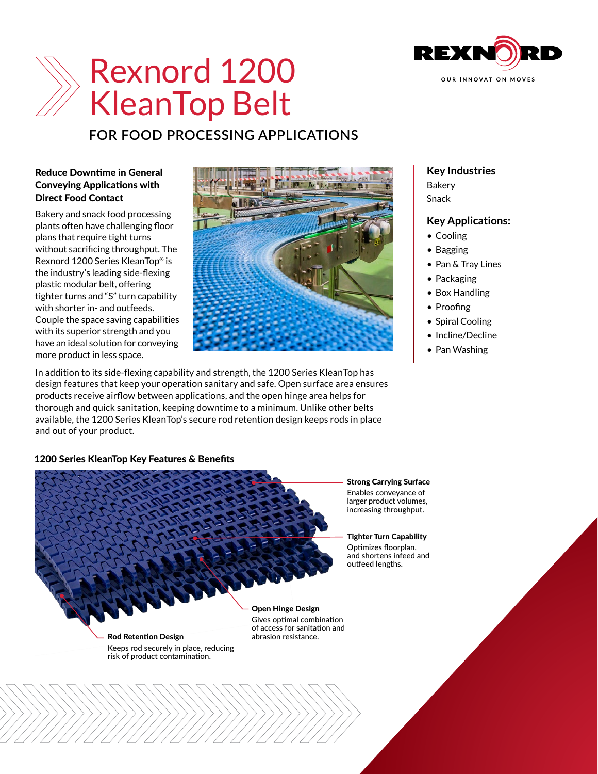

# Rexnord 1200 KleanTop Belt

# **FOR FOOD PROCESSING APPLICATIONS**

### Reduce Downtime in General Conveying Applications with Direct Food Contact

Bakery and snack food processing plants often have challenging floor plans that require tight turns without sacrificing throughput. The Rexnord 1200 Series KleanTop® is the industry's leading side-flexing plastic modular belt, offering tighter turns and "S" turn capability with shorter in- and outfeeds. Couple the space saving capabilities with its superior strength and you have an ideal solution for conveying more product in less space.



In addition to its side-flexing capability and strength, the 1200 Series KleanTop has design features that keep your operation sanitary and safe. Open surface area ensures products receive airflow between applications, and the open hinge area helps for thorough and quick sanitation, keeping downtime to a minimum. Unlike other belts available, the 1200 Series KleanTop's secure rod retention design keeps rods in place and out of your product.

# **Key Industries**

Bakery Snack

## **Key Applications:**

- Cooling
- Bagging
- Pan & Tray Lines
- Packaging
- Box Handling
- Proofing
- Spiral Cooling
- Incline/Decline
- Pan Washing

## 1200 Series KleanTop Key Features & Benefits